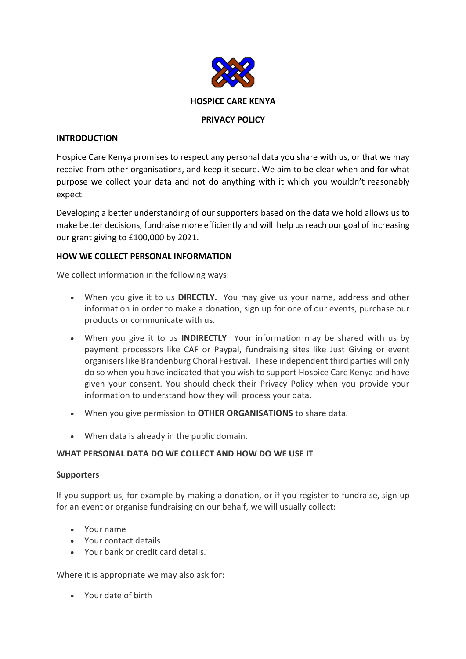

# **INTRODUCTION**

Hospice Care Kenya promises to respect any personal data you share with us, or that we may receive from other organisations, and keep it secure. We aim to be clear when and for what purpose we collect your data and not do anything with it which you wouldn't reasonably expect.

Developing a better understanding of our supporters based on the data we hold allows us to make better decisions, fundraise more efficiently and will help us reach our goal of increasing our grant giving to £100,000 by 2021.

# **HOW WE COLLECT PERSONAL INFORMATION**

We collect information in the following ways:

- When you give it to us **DIRECTLY.** You may give us your name, address and other information in order to make a donation, sign up for one of our events, purchase our products or communicate with us.
- When you give it to us **INDIRECTLY** Your information may be shared with us by payment processors like CAF or Paypal, fundraising sites like Just Giving or event organisers like Brandenburg Choral Festival. These independent third parties will only do so when you have indicated that you wish to support Hospice Care Kenya and have given your consent. You should check their Privacy Policy when you provide your information to understand how they will process your data.
- When you give permission to **OTHER ORGANISATIONS** to share data.
- When data is already in the public domain.

## **WHAT PERSONAL DATA DO WE COLLECT AND HOW DO WE USE IT**

## **Supporters**

If you support us, for example by making a donation, or if you register to fundraise, sign up for an event or organise fundraising on our behalf, we will usually collect:

- Your name
- Your contact details
- Your bank or credit card details.

Where it is appropriate we may also ask for:

• Your date of birth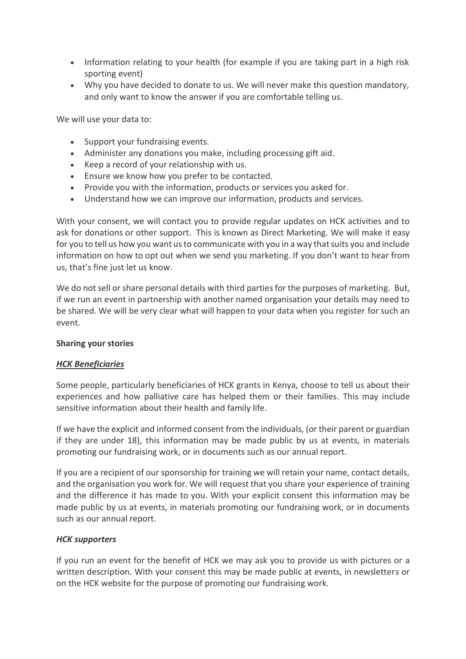- Information relating to your health (for example if you are taking part in a high risk sporting event)
- Why you have decided to donate to us. We will never make this question mandatory, and only want to know the answer if you are comfortable telling us.

We will use your data to:

- Support your fundraising events.
- Administer any donations you make, including processing gift aid.
- Keep a record of your relationship with us.
- Ensure we know how you prefer to be contacted.
- Provide you with the information, products or services you asked for.
- Understand how we can improve our information, products and services.

With your consent, we will contact you to provide regular updates on HCK activities and to ask for donations or other support. This is known as Direct Marketing. We will make it easy for you to tell us how you want us to communicate with you in a way that suits you and include information on how to opt out when we send you marketing. If you don't want to hear from us, that's fine just let us know.

We do not sell or share personal details with third parties for the purposes of marketing. But, if we run an event in partnership with another named organisation your details may need to be shared. We will be very clear what will happen to your data when you register for such an event.

## **Sharing your stories**

## *HCK Beneficiaries*

Some people, particularly beneficiaries of HCK grants in Kenya, choose to tell us about their experiences and how palliative care has helped them or their families. This may include sensitive information about their health and family life.

If we have the explicit and informed consent from the individuals, (or their parent or guardian if they are under 18), this information may be made public by us at events, in materials promoting our fundraising work, or in documents such as our annual report.

If you are a recipient of our sponsorship for training we will retain your name, contact details, and the organisation you work for. We will request that you share your experience of training and the difference it has made to you. With your explicit consent this information may be made public by us at events, in materials promoting our fundraising work, or in documents such as our annual report.

## *HCK supporters*

If you run an event for the benefit of HCK we may ask you to provide us with pictures or a written description. With your consent this may be made public at events, in newsletters or on the HCK website for the purpose of promoting our fundraising work.